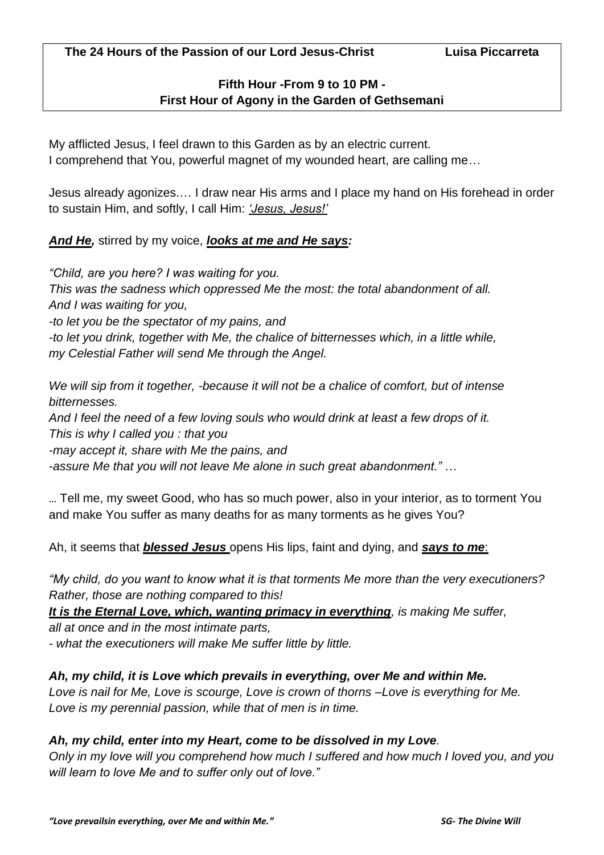# **Fifth Hour -From 9 to 10 PM - First Hour of Agony in the Garden of Gethsemani**

My afflicted Jesus, I feel drawn to this Garden as by an electric current. I comprehend that You, powerful magnet of my wounded heart, are calling me…

Jesus already agonizes.… I draw near His arms and I place my hand on His forehead in order to sustain Him, and softly, I call Him: *'Jesus, Jesus!'*

# *And He,* stirred by my voice, *looks at me and He says:*

*"Child, are you here? I was waiting for you. This was the sadness which oppressed Me the most: the total abandonment of all. And I was waiting for you, -to let you be the spectator of my pains, and* 

*-to let you drink, together with Me, the chalice of bitternesses which, in a little while, my Celestial Father will send Me through the Angel.* 

*We will sip from it together, -because it will not be a chalice of comfort, but of intense bitternesses.*

*And I feel the need of a few loving souls who would drink at least a few drops of it. This is why I called you : that you* 

*-may accept it, share with Me the pains, and* 

*-assure Me that you will not leave Me alone in such great abandonment."* …

… Tell me, my sweet Good, who has so much power, also in your interior, as to torment You and make You suffer as many deaths for as many torments as he gives You?

Ah, it seems that *blessed Jesus* opens His lips, faint and dying, and *says to me*:

*"My child, do you want to know what it is that torments Me more than the very executioners? Rather, those are nothing compared to this!* 

*It is the Eternal Love, which, wanting primacy in everything, is making Me suffer,* 

*all at once and in the most intimate parts,*

*- what the executioners will make Me suffer little by little.* 

# *Ah, my child, it is Love which prevails in everything, over Me and within Me.*

*Love is nail for Me, Love is scourge, Love is crown of thorns –Love is everything for Me. Love is my perennial passion, while that of men is in time.* 

# *Ah, my child, enter into my Heart, come to be dissolved in my Love.*

*Only in my love will you comprehend how much I suffered and how much I loved you, and you will learn to love Me and to suffer only out of love."*